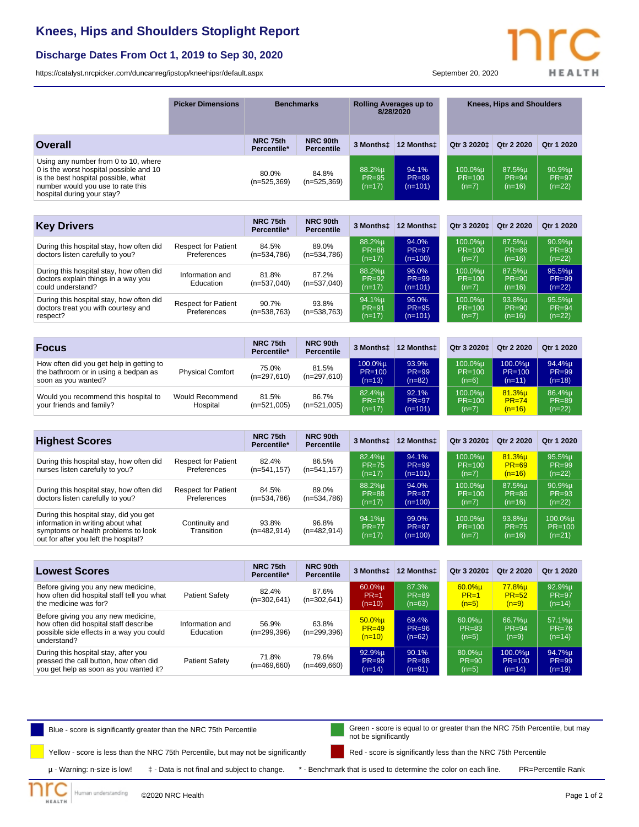## **Knees, Hips and Shoulders Stoplight Report**

## **Discharge Dates From Oct 1, 2019 to Sep 30, 2020**

<https://catalyst.nrcpicker.com/duncanreg/ipstop/kneehipsr/default.aspx> September 20, 2020

**HEALTH** 

|                                                                                                                                                                                           | <b>Picker Dimensions</b>                  |                         | <b>Benchmarks</b>             |                                    | <b>Rolling Averages up to</b><br>8/28/2020 |                                  | <b>Knees, Hips and Shoulders</b>   |                                    |
|-------------------------------------------------------------------------------------------------------------------------------------------------------------------------------------------|-------------------------------------------|-------------------------|-------------------------------|------------------------------------|--------------------------------------------|----------------------------------|------------------------------------|------------------------------------|
| Overall                                                                                                                                                                                   |                                           | NRC 75th<br>Percentile* | NRC 90th<br><b>Percentile</b> | 3 Monthst                          | 12 Monthst                                 | Qtr 3 2020±                      | Otr 2 2020                         | Otr 1 2020                         |
| Using any number from 0 to 10, where<br>0 is the worst hospital possible and 10<br>is the best hospital possible, what<br>number would you use to rate this<br>hospital during your stay? |                                           | 80.0%<br>$(n=525,369)$  | 84.8%<br>$(n=525,369)$        | 88.2%u<br><b>PR=95</b><br>$(n=17)$ | 94.1%<br>$PR = 99$<br>$(n=101)$            | 100.0%u<br>$PR = 100$<br>$(n=7)$ | 87.5%u<br>$PR = 94$<br>$(n=16)$    | 90.9%u<br><b>PR=97</b><br>$(n=22)$ |
|                                                                                                                                                                                           |                                           |                         |                               |                                    |                                            |                                  |                                    |                                    |
| <b>Key Drivers</b>                                                                                                                                                                        |                                           | NRC 75th<br>Percentile* | NRC 90th<br><b>Percentile</b> | 3 Monthst                          | 12 Monthst                                 | Qtr 3 2020±                      | Qtr 2 2020                         | Qtr 1 2020                         |
| During this hospital stay, how often did<br>doctors listen carefully to you?                                                                                                              | <b>Respect for Patient</b><br>Preferences | 84.5%<br>$(n=534,786)$  | 89.0%<br>$(n=534,786)$        | 88.2%µ<br>$PR = 88$<br>$(n=17)$    | 94.0%<br>$PR = 97$<br>$(n=100)$            | 100.0%µ<br>$PR=100$<br>$(n=7)$   | 87.5%µ<br>$PR = 86$<br>$(n=16)$    | 90.9%µ<br>$PR = 93$<br>$(n=22)$    |
| During this hospital stay, how often did<br>doctors explain things in a way you<br>could understand?                                                                                      | Information and<br>Education              | 81.8%<br>$(n=537,040)$  | 87.2%<br>$(n=537,040)$        | 88.2%µ<br><b>PR=92</b><br>$(n=17)$ | 96.0%<br>$PR = 99$<br>$(n=101)$            | 100.0%µ<br>$PR=100$<br>$(n=7)$   | 87.5%µ<br><b>PR=90</b><br>$(n=16)$ | 95.5%µ<br>$PR = 99$<br>$(n=22)$    |
| During this hospital stay, how often did<br>doctors treat you with courtesy and<br>respect?                                                                                               | <b>Respect for Patient</b><br>Preferences | 90.7%<br>$(n=538,763)$  | 93.8%<br>$(n=538,763)$        | 94.1%µ<br><b>PR=91</b><br>$(n=17)$ | 96.0%<br>$PR = 95$<br>$(n=101)$            | 100.0%µ<br>$PR=100$<br>$(n=7)$   | 93.8%µ<br>$PR = 90$<br>$(n=16)$    | 95.5%µ<br>$PR = 94$<br>$(n=22)$    |
|                                                                                                                                                                                           |                                           |                         |                               |                                    |                                            |                                  |                                    |                                    |
| <b>Focus</b>                                                                                                                                                                              |                                           | NRC 75th<br>Percentile* | NRC 90th<br><b>Percentile</b> | 3 Monthst                          | 12 Monthst                                 | Qtr 3 2020±                      | Qtr 2 2020                         | Qtr 1 2020                         |
| How often did you get help in getting to<br>the bathroom or in using a bedpan as<br>soon as you wanted?                                                                                   | <b>Physical Comfort</b>                   | 75.0%<br>$(n=297,610)$  | 81.5%<br>$(n=297,610)$        | 100.0%µ<br>$PR=100$<br>$(n=13)$    | 93.9%<br>$PR = 99$<br>$(n=82)$             | 100.0%µ<br>$PR=100$<br>$(n=6)$   | 100.0%µ<br>$PR=100$<br>$(n=11)$    | 94.4%µ<br><b>PR=99</b><br>$(n=18)$ |
| Would you recommend this hospital to<br>your friends and family?                                                                                                                          | Would Recommend<br>Hospital               | 81.5%<br>$(n=521,005)$  | 86.7%<br>$(n=521,005)$        | 82.4%µ<br><b>PR=78</b><br>$(n=17)$ | 92.1%<br>$PR = 97$<br>$(n=101)$            | 100.0%µ<br>$PR=100$<br>$(n=7)$   | 81.3%µ<br>$PR = 74$<br>$(n=16)$    | 86.4%µ<br><b>PR=89</b><br>$(n=22)$ |

| <b>Highest Scores</b>                                                                                                                                      |                                           | NRC 75th<br>Percentile* | NRC 90th<br><b>Percentile</b> | 3 Monthst                       | 12 Monthst                      | Qtr 3 2020 <sup>+</sup>          | Qtr 2 2020                         | Qtr 1 2020                      |
|------------------------------------------------------------------------------------------------------------------------------------------------------------|-------------------------------------------|-------------------------|-------------------------------|---------------------------------|---------------------------------|----------------------------------|------------------------------------|---------------------------------|
| During this hospital stay, how often did<br>nurses listen carefully to you?                                                                                | <b>Respect for Patient</b><br>Preferences | 82.4%<br>$(n=541, 157)$ | 86.5%<br>$(n=541, 157)$       | 82.4%u<br>$PR = 75$<br>$(n=17)$ | 94.1%<br>$PR = 99$<br>$(n=101)$ | 100.0%u<br>$PR = 100$<br>$(n=7)$ | $81.3%$ u<br>$PR = 69$<br>$(n=16)$ | 95.5%u<br>$PR = 99$<br>$(n=22)$ |
| During this hospital stay, how often did<br>doctors listen carefully to you?                                                                               | <b>Respect for Patient</b><br>Preferences | 84.5%<br>$(n=534,786)$  | 89.0%<br>$(n=534,786)$        | 88.2%µ<br>$PR = 88$<br>$(n=17)$ | 94.0%<br>$PR = 97$<br>$(n=100)$ | 100.0%u<br>$PR = 100$<br>$(n=7)$ | 87.5%u<br>$PR = 86$<br>$(n=16)$    | 90.9%µ<br>$PR = 93$<br>$(n=22)$ |
| During this hospital stay, did you get<br>information in writing about what<br>symptoms or health problems to look<br>out for after you left the hospital? | Continuity and<br>Transition              | 93.8%<br>$(n=482,914)$  | 96.8%<br>$(n=482,914)$        | 94.1%µ<br>$PR = 77$<br>$(n=17)$ | 99.0%<br>$PR = 97$<br>$(n=100)$ | 100.0%u<br>$PR = 100$<br>$(n=7)$ | 93.8%µ<br>$PR = 75$<br>$(n=16)$    | 100.0%µ<br>$PR=100$<br>$(n=21)$ |

| <b>Lowest Scores</b>                                                                                                                    |                              | NRC 75th<br>Percentile* | NRC 90th<br><b>Percentile</b> | 3 Monthst                          | 12 Monthst                     | Otr 3 2020 <sup>+</sup>        | Qtr 2 2020                        | Otr 1 2020                      |
|-----------------------------------------------------------------------------------------------------------------------------------------|------------------------------|-------------------------|-------------------------------|------------------------------------|--------------------------------|--------------------------------|-----------------------------------|---------------------------------|
| Before giving you any new medicine,<br>how often did hospital staff tell you what<br>the medicine was for?                              | Patient Safety               | 82.4%<br>$(n=302,641)$  | 87.6%<br>$(n=302,641)$        | $60.0%$ µ<br>$PR=1$<br>$(n=10)$    | 87.3%<br>$PR = 89$<br>$(n=63)$ | $60.0%$ µ<br>$PR=1$<br>$(n=5)$ | $77.8%$ µ<br>$PR = 52$<br>$(n=9)$ | 92.9%µ<br>$PR = 97$<br>$(n=14)$ |
| Before giving you any new medicine,<br>how often did hospital staff describe<br>possible side effects in a way you could<br>understand? | Information and<br>Education | 56.9%<br>$(n=299,396)$  | 63.8%<br>$(n=299,396)$        | $50.0%$ µ<br>$PR = 49$<br>$(n=10)$ | 69.4%<br>$PR = 96$<br>$(n=62)$ | 60.0%u<br>$PR = 83$<br>$(n=5)$ | 66.7%µ<br>$PR = 94$<br>$(n=9)$    | 57.1%µ<br>$PR = 76$<br>$(n=14)$ |
| During this hospital stay, after you<br>pressed the call button, how often did<br>you get help as soon as you wanted it?                | <b>Patient Safety</b>        | 71.8%<br>$(n=469,660)$  | 79.6%<br>$(n=469,660)$        | 92.9%µ<br>$PR = 99$<br>$(n=14)$    | 90.1%<br>$PR = 98$<br>$(n=91)$ | 80.0%u<br>$PR = 90$<br>$(n=5)$ | 100.0%u<br>$PR=100$<br>$(n=14)$   | 94.7%u<br>$PR = 99$<br>$(n=19)$ |

Blue - score is significantly greater than the NRC 75th Percentile Green - score is equal to or greater than the NRC 75th Percentile, but may

Yellow - score is less than the NRC 75th Percentile, but may not be significantly

µ - Warning: n-size is low! ‡ - Data is not final and subject to change. \* - Benchmark that is used to determine the color on each line. PR=Percentile Rank